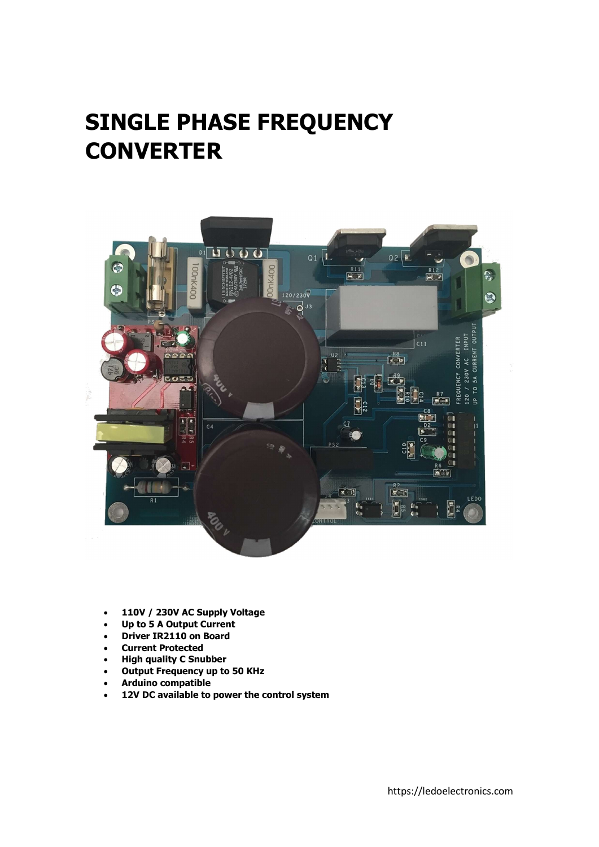## SINGLE PHASE FREQUENCY **CONVERTER**



- 110V / 230V AC Supply Voltage
- Up to 5 A Output Current
- Driver IR2110 on Board
- Current Protected
- High quality C Snubber
- Output Frequency up to 50 KHz
- Arduino compatible
- 12V DC available to power the control system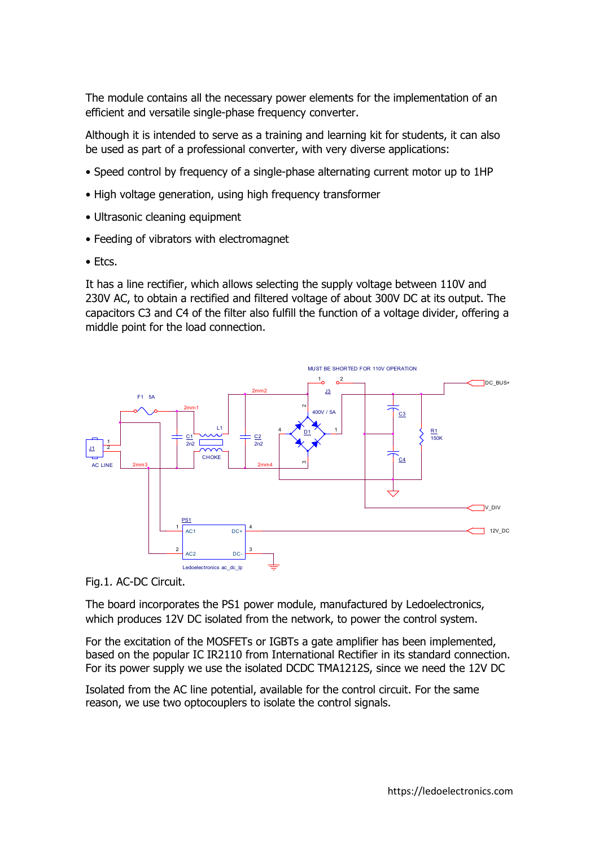The module contains all the necessary power elements for the implementation of an efficient and versatile single-phase frequency converter.

Although it is intended to serve as a training and learning kit for students, it can also be used as part of a professional converter, with very diverse applications:

- Speed control by frequency of a single-phase alternating current motor up to 1HP
- High voltage generation, using high frequency transformer
- Ultrasonic cleaning equipment
- Feeding of vibrators with electromagnet
- Etcs.

It has a line rectifier, which allows selecting the supply voltage between 110V and 230V AC, to obtain a rectified and filtered voltage of about 300V DC at its output. The capacitors C3 and C4 of the filter also fulfill the function of a voltage divider, offering a middle point for the load connection.



Fig.1. AC-DC Circuit.

The board incorporates the PS1 power module, manufactured by Ledoelectronics, which produces 12V DC isolated from the network, to power the control system.

For the excitation of the MOSFETs or IGBTs a gate amplifier has been implemented, based on the popular IC IR2110 from International Rectifier in its standard connection. For its power supply we use the isolated DCDC TMA1212S, since we need the 12V DC

Isolated from the AC line potential, available for the control circuit. For the same reason, we use two optocouplers to isolate the control signals.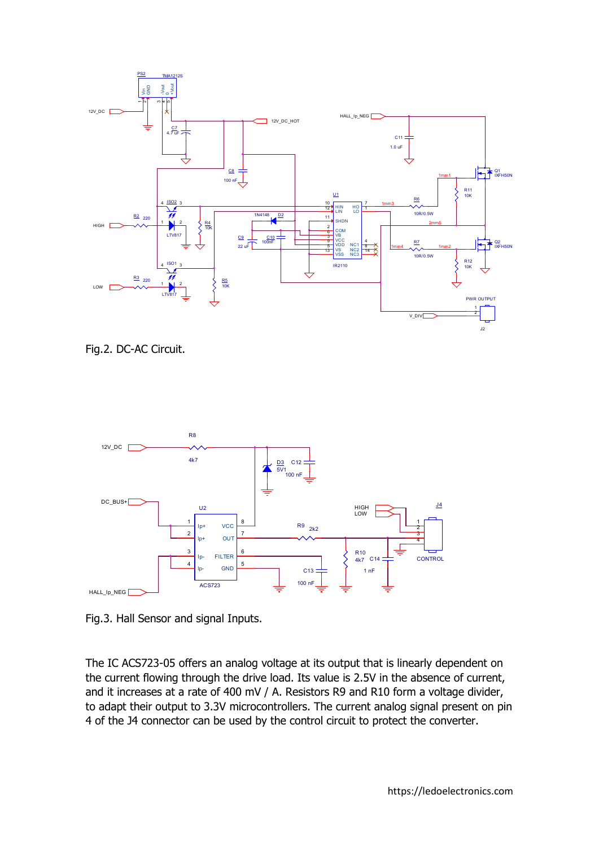

Fig.2. DC-AC Circuit.



Fig.3. Hall Sensor and signal Inputs.

The IC ACS723-05 offers an analog voltage at its output that is linearly dependent on the current flowing through the drive load. Its value is 2.5V in the absence of current, and it increases at a rate of 400 mV / A. Resistors R9 and R10 form a voltage divider, to adapt their output to 3.3V microcontrollers. The current analog signal present on pin 4 of the J4 connector can be used by the control circuit to protect the converter.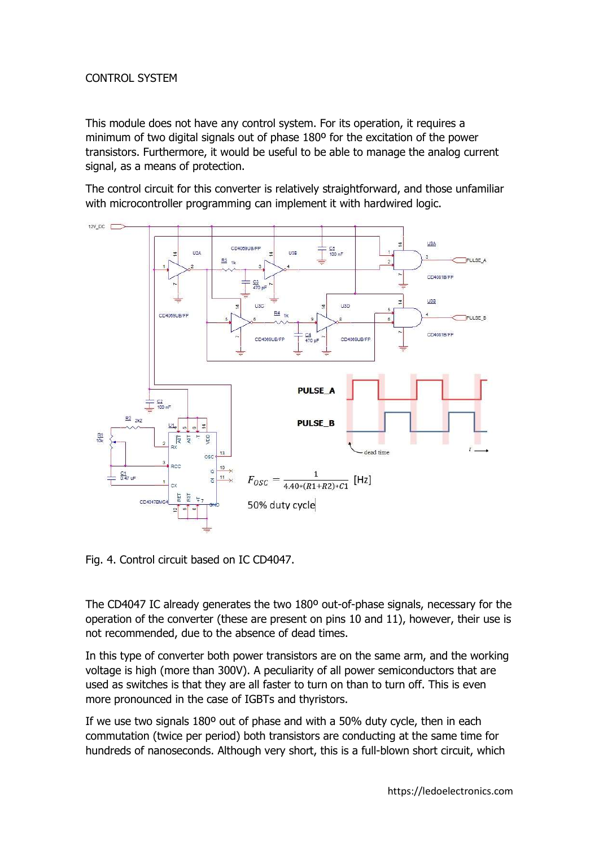## CONTROL SYSTEM

This module does not have any control system. For its operation, it requires a minimum of two digital signals out of phase 180º for the excitation of the power transistors. Furthermore, it would be useful to be able to manage the analog current signal, as a means of protection.

The control circuit for this converter is relatively straightforward, and those unfamiliar with microcontroller programming can implement it with hardwired logic.



Fig. 4. Control circuit based on IC CD4047.

The CD4047 IC already generates the two 180º out-of-phase signals, necessary for the operation of the converter (these are present on pins 10 and 11), however, their use is not recommended, due to the absence of dead times.

In this type of converter both power transistors are on the same arm, and the working voltage is high (more than 300V). A peculiarity of all power semiconductors that are used as switches is that they are all faster to turn on than to turn off. This is even more pronounced in the case of IGBTs and thyristors.

If we use two signals 180º out of phase and with a 50% duty cycle, then in each commutation (twice per period) both transistors are conducting at the same time for hundreds of nanoseconds. Although very short, this is a full-blown short circuit, which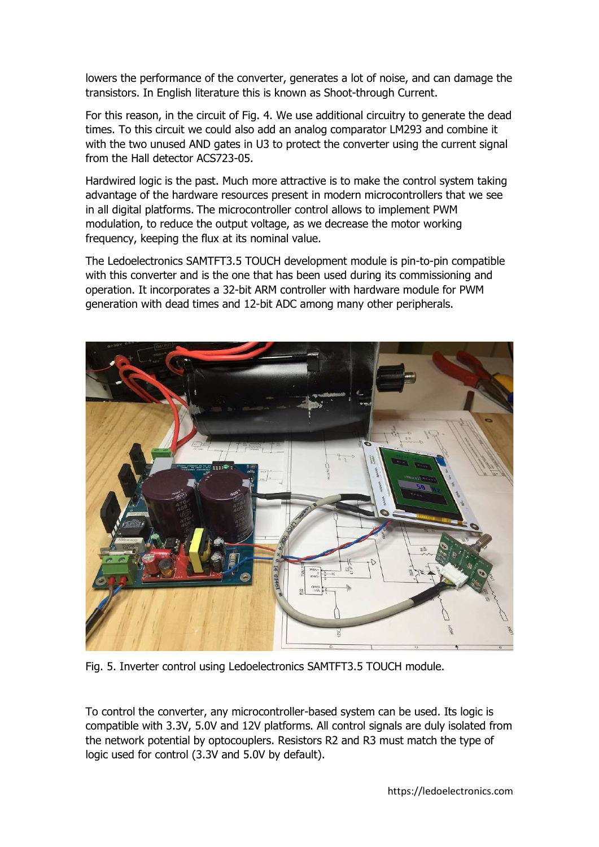lowers the performance of the converter, generates a lot of noise, and can damage the transistors. In English literature this is known as Shoot-through Current.

For this reason, in the circuit of Fig. 4. We use additional circuitry to generate the dead times. To this circuit we could also add an analog comparator LM293 and combine it with the two unused AND gates in U3 to protect the converter using the current signal from the Hall detector ACS723-05.

Hardwired logic is the past. Much more attractive is to make the control system taking advantage of the hardware resources present in modern microcontrollers that we see in all digital platforms. The microcontroller control allows to implement PWM modulation, to reduce the output voltage, as we decrease the motor working frequency, keeping the flux at its nominal value.

The Ledoelectronics SAMTFT3.5 TOUCH development module is pin-to-pin compatible with this converter and is the one that has been used during its commissioning and operation. It incorporates a 32-bit ARM controller with hardware module for PWM generation with dead times and 12-bit ADC among many other peripherals.



Fig. 5. Inverter control using Ledoelectronics SAMTFT3.5 TOUCH module.

To control the converter, any microcontroller-based system can be used. Its logic is compatible with 3.3V, 5.0V and 12V platforms. All control signals are duly isolated from the network potential by optocouplers. Resistors R2 and R3 must match the type of logic used for control (3.3V and 5.0V by default).